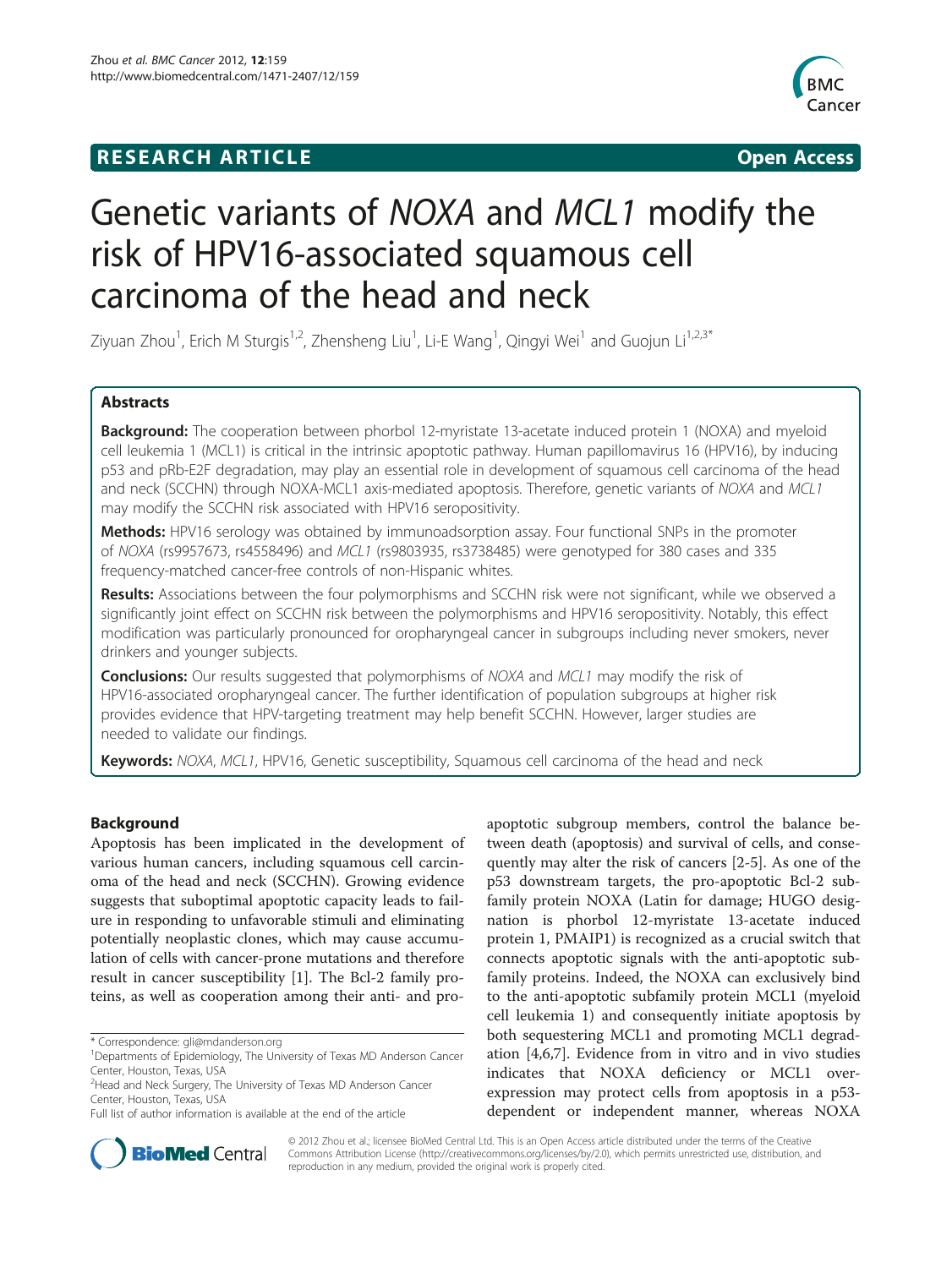# **RESEARCH ARTICLE Example 2014 CONSIDERING CONSIDERING CONSIDERING CONSIDERING CONSIDERING CONSIDERING CONSIDERING CONSIDERING CONSIDERING CONSIDERING CONSIDERING CONSIDERING CONSIDERING CONSIDERING CONSIDERING CONSIDE**



# Genetic variants of NOXA and MCL1 modify the risk of HPV16-associated squamous cell carcinoma of the head and neck

Ziyuan Zhou<sup>1</sup>, Erich M Sturgis<sup>1,2</sup>, Zhensheng Liu<sup>1</sup>, Li-E Wang<sup>1</sup>, Qingyi Wei<sup>1</sup> and Guojun Li<sup>1,2,3\*</sup>

# Abstracts

Background: The cooperation between phorbol 12-myristate 13-acetate induced protein 1 (NOXA) and myeloid cell leukemia 1 (MCL1) is critical in the intrinsic apoptotic pathway. Human papillomavirus 16 (HPV16), by inducing p53 and pRb-E2F degradation, may play an essential role in development of squamous cell carcinoma of the head and neck (SCCHN) through NOXA-MCL1 axis-mediated apoptosis. Therefore, genetic variants of NOXA and MCL1 may modify the SCCHN risk associated with HPV16 seropositivity.

**Methods:** HPV16 serology was obtained by immunoadsorption assay. Four functional SNPs in the promoter of NOXA (rs9957673, rs4558496) and MCL1 (rs9803935, rs3738485) were genotyped for 380 cases and 335 frequency-matched cancer-free controls of non-Hispanic whites.

Results: Associations between the four polymorphisms and SCCHN risk were not significant, while we observed a significantly joint effect on SCCHN risk between the polymorphisms and HPV16 seropositivity. Notably, this effect modification was particularly pronounced for oropharyngeal cancer in subgroups including never smokers, never drinkers and younger subjects.

**Conclusions:** Our results suggested that polymorphisms of NOXA and MCL1 may modify the risk of HPV16-associated oropharyngeal cancer. The further identification of population subgroups at higher risk provides evidence that HPV-targeting treatment may help benefit SCCHN. However, larger studies are needed to validate our findings.

Keywords: NOXA, MCL1, HPV16, Genetic susceptibility, Squamous cell carcinoma of the head and neck

# Background

Apoptosis has been implicated in the development of various human cancers, including squamous cell carcinoma of the head and neck (SCCHN). Growing evidence suggests that suboptimal apoptotic capacity leads to failure in responding to unfavorable stimuli and eliminating potentially neoplastic clones, which may cause accumulation of cells with cancer-prone mutations and therefore result in cancer susceptibility [\[1](#page-8-0)]. The Bcl-2 family proteins, as well as cooperation among their anti- and pro-

apoptotic subgroup members, control the balance between death (apoptosis) and survival of cells, and consequently may alter the risk of cancers [\[2](#page-9-0)-[5](#page-9-0)]. As one of the p53 downstream targets, the pro-apoptotic Bcl-2 subfamily protein NOXA (Latin for damage; HUGO designation is phorbol 12-myristate 13-acetate induced protein 1, PMAIP1) is recognized as a crucial switch that connects apoptotic signals with the anti-apoptotic subfamily proteins. Indeed, the NOXA can exclusively bind to the anti-apoptotic subfamily protein MCL1 (myeloid cell leukemia 1) and consequently initiate apoptosis by both sequestering MCL1 and promoting MCL1 degradation [\[4,6](#page-9-0),[7](#page-9-0)]. Evidence from in vitro and in vivo studies indicates that NOXA deficiency or MCL1 overexpression may protect cells from apoptosis in a p53 dependent or independent manner, whereas NOXA



© 2012 Zhou et al.; licensee BioMed Central Ltd. This is an Open Access article distributed under the terms of the Creative Commons Attribution License [\(http://creativecommons.org/licenses/by/2.0\)](http://creativecommons.org/licenses/by/2.0), which permits unrestricted use, distribution, and reproduction in any medium, provided the original work is properly cited.

<sup>\*</sup> Correspondence: [gli@mdanderson.org](mailto:gli@mdanderson.org) <sup>1</sup>

<sup>&</sup>lt;sup>1</sup>Departments of Epidemiology, The University of Texas MD Anderson Cancer Center, Houston, Texas, USA

<sup>&</sup>lt;sup>2</sup> Head and Neck Surgery, The University of Texas MD Anderson Cancer Center, Houston, Texas, USA

Full list of author information is available at the end of the article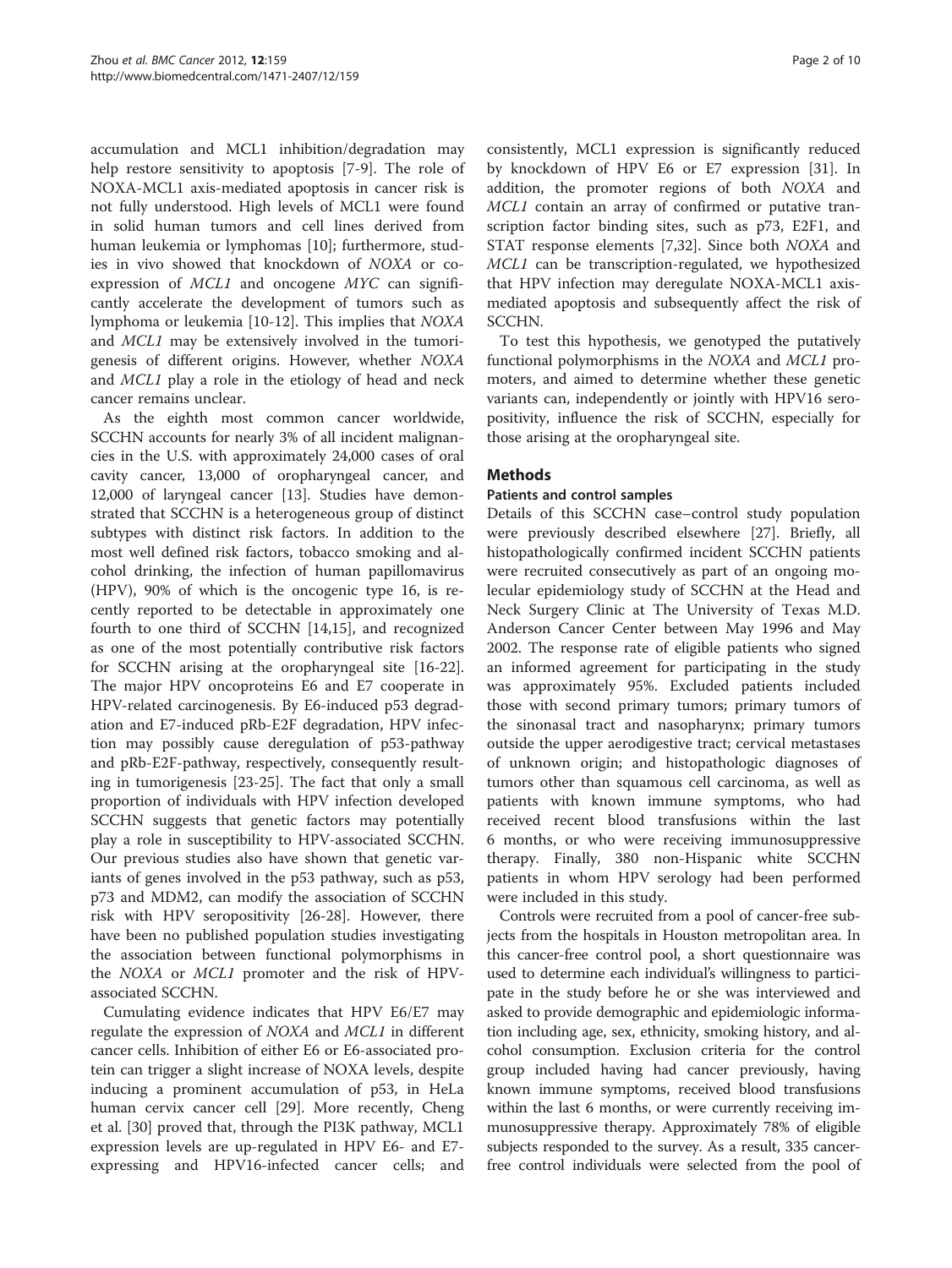accumulation and MCL1 inhibition/degradation may help restore sensitivity to apoptosis [\[7](#page-9-0)-[9\]](#page-9-0). The role of NOXA-MCL1 axis-mediated apoptosis in cancer risk is not fully understood. High levels of MCL1 were found in solid human tumors and cell lines derived from human leukemia or lymphomas [\[10](#page-9-0)]; furthermore, studies in vivo showed that knockdown of NOXA or coexpression of MCL1 and oncogene MYC can significantly accelerate the development of tumors such as lymphoma or leukemia [\[10](#page-9-0)-[12\]](#page-9-0). This implies that NOXA and MCL1 may be extensively involved in the tumorigenesis of different origins. However, whether NOXA and MCL1 play a role in the etiology of head and neck cancer remains unclear.

As the eighth most common cancer worldwide, SCCHN accounts for nearly 3% of all incident malignancies in the U.S. with approximately 24,000 cases of oral cavity cancer, 13,000 of oropharyngeal cancer, and 12,000 of laryngeal cancer [\[13](#page-9-0)]. Studies have demonstrated that SCCHN is a heterogeneous group of distinct subtypes with distinct risk factors. In addition to the most well defined risk factors, tobacco smoking and alcohol drinking, the infection of human papillomavirus (HPV), 90% of which is the oncogenic type 16, is recently reported to be detectable in approximately one fourth to one third of SCCHN [[14,15](#page-9-0)], and recognized as one of the most potentially contributive risk factors for SCCHN arising at the oropharyngeal site [\[16-22](#page-9-0)]. The major HPV oncoproteins E6 and E7 cooperate in HPV-related carcinogenesis. By E6-induced p53 degradation and E7-induced pRb-E2F degradation, HPV infection may possibly cause deregulation of p53-pathway and pRb-E2F-pathway, respectively, consequently resulting in tumorigenesis [[23-25](#page-9-0)]. The fact that only a small proportion of individuals with HPV infection developed SCCHN suggests that genetic factors may potentially play a role in susceptibility to HPV-associated SCCHN. Our previous studies also have shown that genetic variants of genes involved in the p53 pathway, such as p53, p73 and MDM2, can modify the association of SCCHN risk with HPV seropositivity [[26-28\]](#page-9-0). However, there have been no published population studies investigating the association between functional polymorphisms in the NOXA or MCL1 promoter and the risk of HPVassociated SCCHN.

Cumulating evidence indicates that HPV E6/E7 may regulate the expression of NOXA and MCL1 in different cancer cells. Inhibition of either E6 or E6-associated protein can trigger a slight increase of NOXA levels, despite inducing a prominent accumulation of p53, in HeLa human cervix cancer cell [[29](#page-9-0)]. More recently, Cheng et al. [\[30](#page-9-0)] proved that, through the PI3K pathway, MCL1 expression levels are up-regulated in HPV E6- and E7 expressing and HPV16-infected cancer cells; and

consistently, MCL1 expression is significantly reduced by knockdown of HPV E6 or E7 expression [\[31](#page-9-0)]. In addition, the promoter regions of both NOXA and MCL1 contain an array of confirmed or putative transcription factor binding sites, such as p73, E2F1, and STAT response elements [[7,32\]](#page-9-0). Since both NOXA and MCL1 can be transcription-regulated, we hypothesized that HPV infection may deregulate NOXA-MCL1 axismediated apoptosis and subsequently affect the risk of SCCHN.

To test this hypothesis, we genotyped the putatively functional polymorphisms in the NOXA and MCL1 promoters, and aimed to determine whether these genetic variants can, independently or jointly with HPV16 seropositivity, influence the risk of SCCHN, especially for those arising at the oropharyngeal site.

# **Mathods**

#### Patients and control samples

Details of this SCCHN case–control study population were previously described elsewhere [[27\]](#page-9-0). Briefly, all histopathologically confirmed incident SCCHN patients were recruited consecutively as part of an ongoing molecular epidemiology study of SCCHN at the Head and Neck Surgery Clinic at The University of Texas M.D. Anderson Cancer Center between May 1996 and May 2002. The response rate of eligible patients who signed an informed agreement for participating in the study was approximately 95%. Excluded patients included those with second primary tumors; primary tumors of the sinonasal tract and nasopharynx; primary tumors outside the upper aerodigestive tract; cervical metastases of unknown origin; and histopathologic diagnoses of tumors other than squamous cell carcinoma, as well as patients with known immune symptoms, who had received recent blood transfusions within the last 6 months, or who were receiving immunosuppressive therapy. Finally, 380 non-Hispanic white SCCHN patients in whom HPV serology had been performed were included in this study.

Controls were recruited from a pool of cancer-free subjects from the hospitals in Houston metropolitan area. In this cancer-free control pool, a short questionnaire was used to determine each individual's willingness to participate in the study before he or she was interviewed and asked to provide demographic and epidemiologic information including age, sex, ethnicity, smoking history, and alcohol consumption. Exclusion criteria for the control group included having had cancer previously, having known immune symptoms, received blood transfusions within the last 6 months, or were currently receiving immunosuppressive therapy. Approximately 78% of eligible subjects responded to the survey. As a result, 335 cancerfree control individuals were selected from the pool of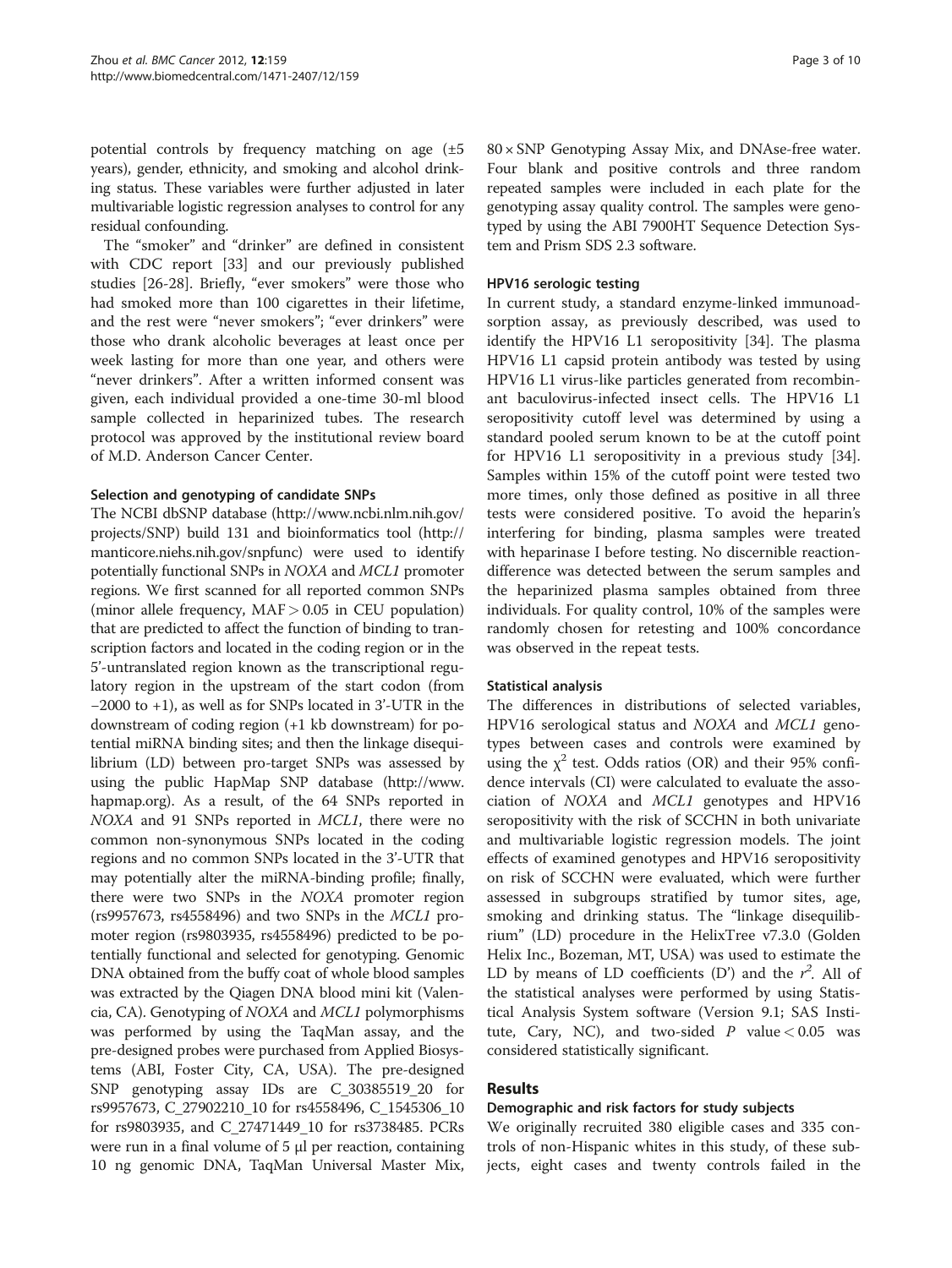potential controls by frequency matching on age (±5 years), gender, ethnicity, and smoking and alcohol drinking status. These variables were further adjusted in later multivariable logistic regression analyses to control for any residual confounding.

The "smoker" and "drinker" are defined in consistent with CDC report [\[33](#page-9-0)] and our previously published studies [\[26](#page-9-0)-[28](#page-9-0)]. Briefly, "ever smokers" were those who had smoked more than 100 cigarettes in their lifetime, and the rest were "never smokers"; "ever drinkers" were those who drank alcoholic beverages at least once per week lasting for more than one year, and others were "never drinkers". After a written informed consent was given, each individual provided a one-time 30-ml blood sample collected in heparinized tubes. The research protocol was approved by the institutional review board of M.D. Anderson Cancer Center.

#### Selection and genotyping of candidate SNPs

The NCBI dbSNP database [\(http://www.ncbi.nlm.nih.gov/](http://www.ncbi.nlm.nih.gov/projects/SNP) [projects/SNP\)](http://www.ncbi.nlm.nih.gov/projects/SNP) build 131 and bioinformatics tool [\(http://](http://manticore.niehs.nih.gov/snpfunc) [manticore.niehs.nih.gov/snpfunc\)](http://manticore.niehs.nih.gov/snpfunc) were used to identify potentially functional SNPs in NOXA and MCL1 promoter regions. We first scanned for all reported common SNPs (minor allele frequency, MAF> 0.05 in CEU population) that are predicted to affect the function of binding to transcription factors and located in the coding region or in the 5'-untranslated region known as the transcriptional regulatory region in the upstream of the start codon (from −2000 to +1), as well as for SNPs located in 3'-UTR in the downstream of coding region (+1 kb downstream) for potential miRNA binding sites; and then the linkage disequilibrium (LD) between pro-target SNPs was assessed by using the public HapMap SNP database ([http://www.](http://www.hapmap.org) [hapmap.org](http://www.hapmap.org)). As a result, of the 64 SNPs reported in NOXA and 91 SNPs reported in MCL1, there were no common non-synonymous SNPs located in the coding regions and no common SNPs located in the 3'-UTR that may potentially alter the miRNA-binding profile; finally, there were two SNPs in the NOXA promoter region (rs9957673, rs4558496) and two SNPs in the MCL1 promoter region (rs9803935, rs4558496) predicted to be potentially functional and selected for genotyping. Genomic DNA obtained from the buffy coat of whole blood samples was extracted by the Qiagen DNA blood mini kit (Valencia, CA). Genotyping of NOXA and MCL1 polymorphisms was performed by using the TaqMan assay, and the pre-designed probes were purchased from Applied Biosystems (ABI, Foster City, CA, USA). The pre-designed SNP genotyping assay IDs are C\_30385519\_20 for rs9957673, C\_27902210\_10 for rs4558496, C\_1545306\_10 for rs9803935, and C\_27471449\_10 for rs3738485. PCRs were run in a final volume of 5 μl per reaction, containing 10 ng genomic DNA, TaqMan Universal Master Mix, 80 × SNP Genotyping Assay Mix, and DNAse-free water. Four blank and positive controls and three random repeated samples were included in each plate for the genotyping assay quality control. The samples were genotyped by using the ABI 7900HT Sequence Detection System and Prism SDS 2.3 software.

## HPV16 serologic testing

In current study, a standard enzyme-linked immunoadsorption assay, as previously described, was used to identify the HPV16 L1 seropositivity [\[34\]](#page-9-0). The plasma HPV16 L1 capsid protein antibody was tested by using HPV16 L1 virus-like particles generated from recombinant baculovirus-infected insect cells. The HPV16 L1 seropositivity cutoff level was determined by using a standard pooled serum known to be at the cutoff point for HPV16 L1 seropositivity in a previous study [\[34](#page-9-0)]. Samples within 15% of the cutoff point were tested two more times, only those defined as positive in all three tests were considered positive. To avoid the heparin's interfering for binding, plasma samples were treated with heparinase I before testing. No discernible reactiondifference was detected between the serum samples and the heparinized plasma samples obtained from three individuals. For quality control, 10% of the samples were randomly chosen for retesting and 100% concordance was observed in the repeat tests.

## Statistical analysis

The differences in distributions of selected variables, HPV16 serological status and NOXA and MCL1 genotypes between cases and controls were examined by using the  $\chi^2$  test. Odds ratios (OR) and their 95% confidence intervals (CI) were calculated to evaluate the association of NOXA and MCL1 genotypes and HPV16 seropositivity with the risk of SCCHN in both univariate and multivariable logistic regression models. The joint effects of examined genotypes and HPV16 seropositivity on risk of SCCHN were evaluated, which were further assessed in subgroups stratified by tumor sites, age, smoking and drinking status. The "linkage disequilibrium" (LD) procedure in the HelixTree v7.3.0 (Golden Helix Inc., Bozeman, MT, USA) was used to estimate the LD by means of LD coefficients (D') and the  $r^2$ . All of the statistical analyses were performed by using Statistical Analysis System software (Version 9.1; SAS Institute, Cary, NC), and two-sided  $P$  value < 0.05 was considered statistically significant.

# Results

## Demographic and risk factors for study subjects

We originally recruited 380 eligible cases and 335 controls of non-Hispanic whites in this study, of these subjects, eight cases and twenty controls failed in the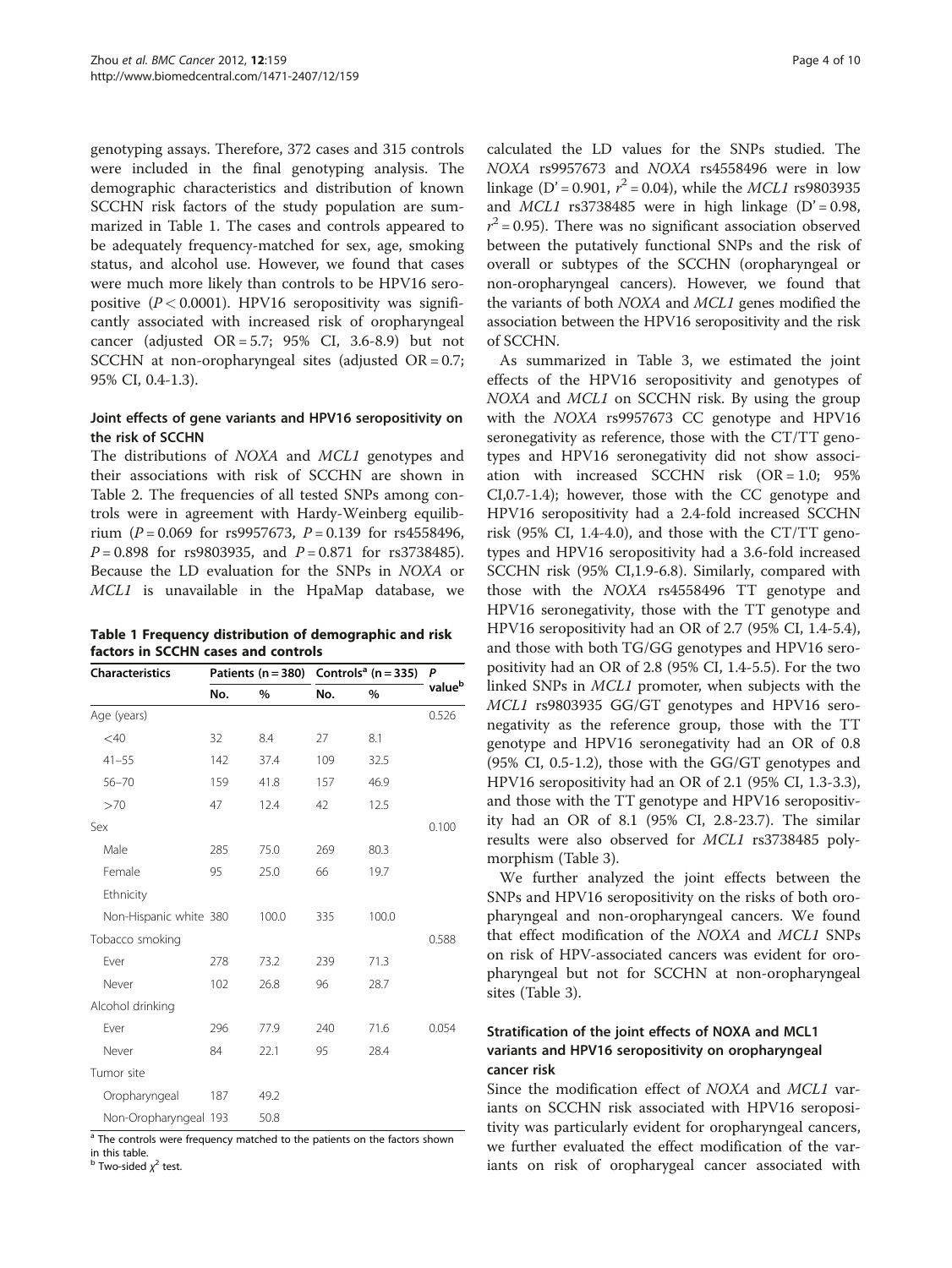genotyping assays. Therefore, 372 cases and 315 controls were included in the final genotyping analysis. The demographic characteristics and distribution of known SCCHN risk factors of the study population are summarized in Table 1. The cases and controls appeared to be adequately frequency-matched for sex, age, smoking status, and alcohol use. However, we found that cases were much more likely than controls to be HPV16 seropositive  $(P < 0.0001)$ . HPV16 seropositivity was significantly associated with increased risk of oropharyngeal cancer (adjusted  $OR = 5.7$ ; 95% CI, 3.6-8.9) but not SCCHN at non-oropharyngeal sites (adjusted OR = 0.7; 95% CI, 0.4-1.3).

## Joint effects of gene variants and HPV16 seropositivity on the risk of SCCHN

The distributions of NOXA and MCL1 genotypes and their associations with risk of SCCHN are shown in Table [2](#page-4-0). The frequencies of all tested SNPs among controls were in agreement with Hardy-Weinberg equilibrium ( $P = 0.069$  for rs9957673,  $P = 0.139$  for rs4558496,  $P = 0.898$  for rs9803935, and  $P = 0.871$  for rs3738485). Because the LD evaluation for the SNPs in NOXA or MCL1 is unavailable in the HpaMap database, we

| Table 1 Frequency distribution of demographic and risk |
|--------------------------------------------------------|
| factors in SCCHN cases and controls                    |

| <b>Characteristics</b> |     |       |     | Patients ( $n = 380$ ) Controls <sup>a</sup> ( $n = 335$ ) |                    |  |
|------------------------|-----|-------|-----|------------------------------------------------------------|--------------------|--|
|                        | No. | %     | No. | %                                                          | value <sup>b</sup> |  |
| Age (years)            |     |       |     |                                                            | 0.526              |  |
| $<$ 40                 | 32  | 8.4   | 27  | 8.1                                                        |                    |  |
| $41 - 55$              | 142 | 37.4  | 109 | 32.5                                                       |                    |  |
| $56 - 70$              | 159 | 41.8  | 157 | 46.9                                                       |                    |  |
| >70                    | 47  | 12.4  | 42  | 12.5                                                       |                    |  |
| Sex                    |     |       |     |                                                            | 0.100              |  |
| Male                   | 285 | 75.0  | 269 | 80.3                                                       |                    |  |
| Female                 | 95  | 25.0  | 66  | 19.7                                                       |                    |  |
| Ethnicity              |     |       |     |                                                            |                    |  |
| Non-Hispanic white 380 |     | 100.0 | 335 | 100.0                                                      |                    |  |
| Tobacco smoking        |     |       |     |                                                            | 0.588              |  |
| Ever                   | 278 | 73.2  | 239 | 71.3                                                       |                    |  |
| Never                  | 102 | 26.8  | 96  | 28.7                                                       |                    |  |
| Alcohol drinking       |     |       |     |                                                            |                    |  |
| Ever                   | 296 | 77.9  | 240 | 71.6                                                       | 0.054              |  |
| Never                  | 84  | 22.1  | 95  | 28.4                                                       |                    |  |
| Tumor site             |     |       |     |                                                            |                    |  |
| Oropharyngeal          | 187 | 49.2  |     |                                                            |                    |  |
| Non-Oropharyngeal 193  |     | 50.8  |     |                                                            |                    |  |

 $\overline{a}$  The controls were frequency matched to the patients on the factors shown in this table.

<sup>b</sup> Two-sided  $\chi^2$  test.

calculated the LD values for the SNPs studied. The NOXA rs9957673 and NOXA rs4558496 were in low linkage (D' = 0.901,  $r^2$  = 0.04), while the *MCL1* rs9803935 and  $MCL1$  rs3738485 were in high linkage (D' = 0.98,  $r^2$  = 0.95). There was no significant association observed between the putatively functional SNPs and the risk of overall or subtypes of the SCCHN (oropharyngeal or non-oropharyngeal cancers). However, we found that the variants of both NOXA and MCL1 genes modified the association between the HPV16 seropositivity and the risk of SCCHN.

As summarized in Table [3](#page-5-0), we estimated the joint effects of the HPV16 seropositivity and genotypes of NOXA and MCL1 on SCCHN risk. By using the group with the NOXA rs9957673 CC genotype and HPV16 seronegativity as reference, those with the CT/TT genotypes and HPV16 seronegativity did not show association with increased SCCHN risk (OR = 1.0; 95% CI,0.7-1.4); however, those with the CC genotype and HPV16 seropositivity had a 2.4-fold increased SCCHN risk (95% CI, 1.4-4.0), and those with the CT/TT genotypes and HPV16 seropositivity had a 3.6-fold increased SCCHN risk (95% CI,1.9-6.8). Similarly, compared with those with the NOXA rs4558496 TT genotype and HPV16 seronegativity, those with the TT genotype and HPV16 seropositivity had an OR of 2.7 (95% CI, 1.4-5.4), and those with both TG/GG genotypes and HPV16 seropositivity had an OR of 2.8 (95% CI, 1.4-5.5). For the two linked SNPs in MCL1 promoter, when subjects with the MCL1 rs9803935 GG/GT genotypes and HPV16 seronegativity as the reference group, those with the TT genotype and HPV16 seronegativity had an OR of 0.8 (95% CI, 0.5-1.2), those with the GG/GT genotypes and HPV16 seropositivity had an OR of 2.1 (95% CI, 1.3-3.3), and those with the TT genotype and HPV16 seropositivity had an OR of 8.1 (95% CI, 2.8-23.7). The similar results were also observed for MCL1 rs3738485 polymorphism (Table [3](#page-5-0)).

We further analyzed the joint effects between the SNPs and HPV16 seropositivity on the risks of both oropharyngeal and non-oropharyngeal cancers. We found that effect modification of the NOXA and MCL1 SNPs on risk of HPV-associated cancers was evident for oropharyngeal but not for SCCHN at non-oropharyngeal sites (Table [3\)](#page-5-0).

# Stratification of the joint effects of NOXA and MCL1 variants and HPV16 seropositivity on oropharyngeal cancer risk

Since the modification effect of NOXA and MCL1 variants on SCCHN risk associated with HPV16 seropositivity was particularly evident for oropharyngeal cancers, we further evaluated the effect modification of the variants on risk of oropharygeal cancer associated with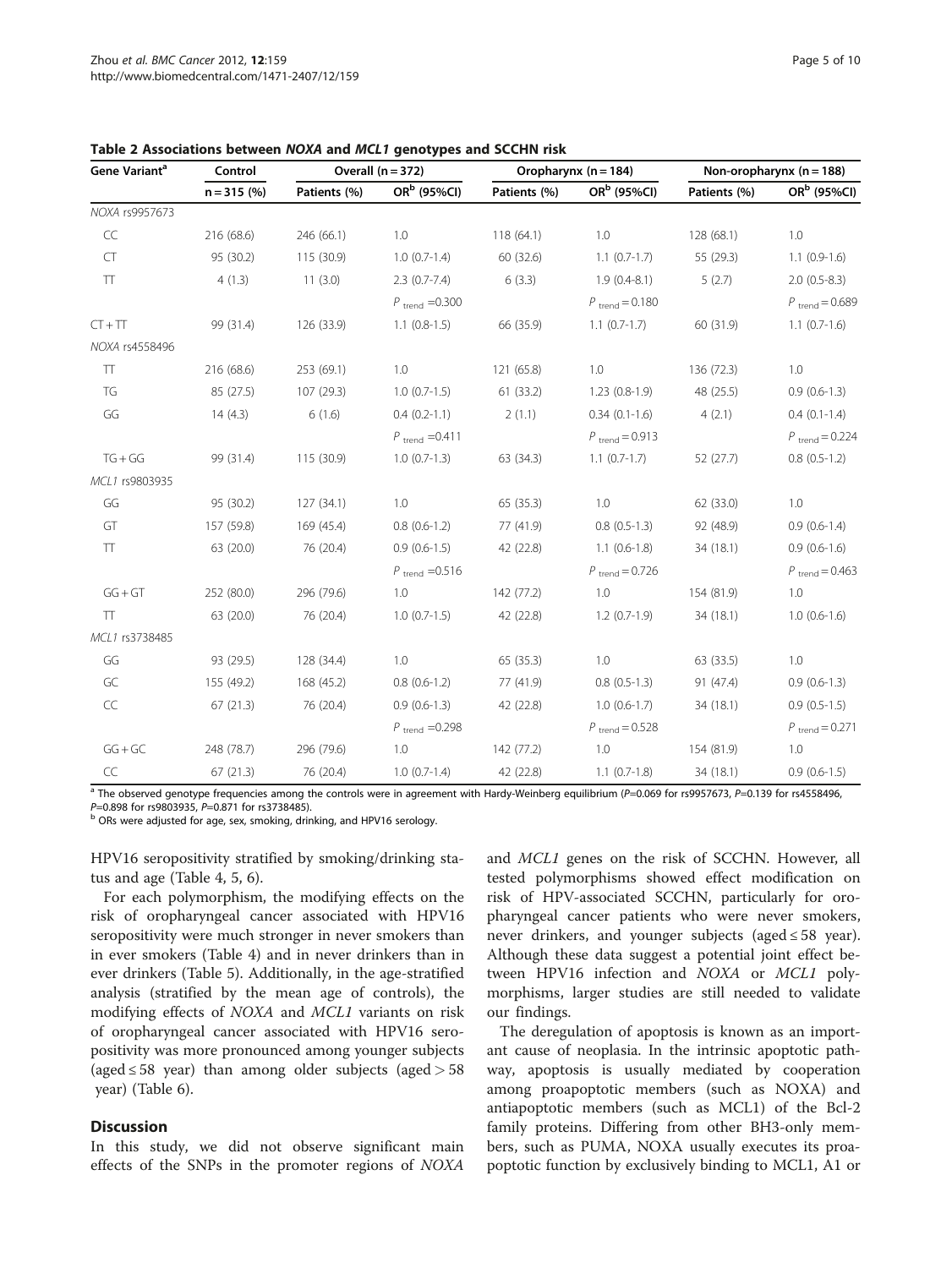| Gene Variant <sup>a</sup> | Control      |              | Overall $(n = 372)$          |              | Oropharynx ( $n = 184$ )   | Non-oropharynx $(n = 188)$ |                            |
|---------------------------|--------------|--------------|------------------------------|--------------|----------------------------|----------------------------|----------------------------|
|                           | $n = 315(%)$ | Patients (%) | OR <sup>b</sup> (95%Cl)      | Patients (%) | OR <sup>b</sup> (95%Cl)    | Patients (%)               | OR <sup>b</sup> (95%Cl)    |
| NOXA rs9957673            |              |              |                              |              |                            |                            |                            |
| $\subset \subset$         | 216 (68.6)   | 246 (66.1)   | 1.0                          | 118(64.1)    | 1.0                        | 128 (68.1)                 | 1.0                        |
| CT                        | 95 (30.2)    | 115 (30.9)   | $1.0(0.7-1.4)$               | 60 (32.6)    | $1.1(0.7-1.7)$             | 55 (29.3)                  | $1.1(0.9-1.6)$             |
| $\top\top$                | 4(1.3)       | 11(3.0)      | $2.3(0.7-7.4)$               | 6(3.3)       | $1.9(0.4-8.1)$             | 5(2.7)                     | $2.0(0.5-8.3)$             |
|                           |              |              | $P_{\text{trend}} = 0.300$   |              | $P_{\text{trend}} = 0.180$ |                            | $P_{\text{trend}} = 0.689$ |
| $CT + TT$                 | 99 (31.4)    | 126 (33.9)   | $1.1(0.8-1.5)$               | 66 (35.9)    | $1.1(0.7-1.7)$             | 60 (31.9)                  | $1.1(0.7-1.6)$             |
| NOXA rs4558496            |              |              |                              |              |                            |                            |                            |
| $\top\top$                | 216(68.6)    | 253 (69.1)   | 1.0                          | 121 (65.8)   | 1.0                        | 136 (72.3)                 | 1.0                        |
| TG                        | 85 (27.5)    | 107 (29.3)   | $1.0(0.7-1.5)$               | 61 (33.2)    | $1.23(0.8-1.9)$            | 48 (25.5)                  | $0.9(0.6-1.3)$             |
| GG                        | 14(4.3)      | 6(1.6)       | $0.4(0.2-1.1)$               | 2(1.1)       | $0.34(0.1-1.6)$            | 4(2.1)                     | $0.4(0.1-1.4)$             |
|                           |              |              | $P_{\text{trend}} = 0.411$   |              | $P_{\text{trend}} = 0.913$ |                            | $P_{\text{trend}} = 0.224$ |
| $TG+GG$                   | 99 (31.4)    | 115(30.9)    | $1.0(0.7-1.3)$               | 63 (34.3)    | $1.1(0.7-1.7)$             | 52(27.7)                   | $0.8(0.5-1.2)$             |
| MCL1 rs9803935            |              |              |                              |              |                            |                            |                            |
| GG                        | 95 (30.2)    | 127(34.1)    | 1.0                          | 65 (35.3)    | 1.0                        | 62 (33.0)                  | 1.0                        |
| GT                        | 157 (59.8)   | 169 (45.4)   | $0.8(0.6-1.2)$               | 77 (41.9)    | $0.8(0.5-1.3)$             | 92 (48.9)                  | $0.9(0.6-1.4)$             |
| $\top$                    | 63 (20.0)    | 76 (20.4)    | $0.9(0.6-1.5)$               | 42 (22.8)    | $1.1(0.6-1.8)$             | 34(18.1)                   | $0.9(0.6-1.6)$             |
|                           |              |              | $P_{\text{trend}} = 0.516$   |              | $P_{\text{trend}} = 0.726$ |                            | $P_{\text{trend}} = 0.463$ |
| $GG + GT$                 | 252 (80.0)   | 296 (79.6)   | 1.0                          | 142 (77.2)   | 1.0                        | 154 (81.9)                 | 1.0                        |
| $\top$                    | 63 (20.0)    | 76 (20.4)    | $1.0(0.7-1.5)$               | 42 (22.8)    | $1.2(0.7-1.9)$             | 34(18.1)                   | $1.0(0.6-1.6)$             |
| MCL1 rs3738485            |              |              |                              |              |                            |                            |                            |
| GG                        | 93 (29.5)    | 128 (34.4)   | 1.0                          | 65 (35.3)    | 1.0                        | 63 (33.5)                  | 1.0                        |
| GC                        | 155 (49.2)   | 168 (45.2)   | $0.8(0.6-1.2)$               | 77 (41.9)    | $0.8(0.5-1.3)$             | 91 (47.4)                  | $0.9(0.6-1.3)$             |
| $\subset \subset$         | 67(21.3)     | 76 (20.4)    | $0.9(0.6-1.3)$               | 42 (22.8)    | $1.0(0.6-1.7)$             | 34(18.1)                   | $0.9(0.5-1.5)$             |
|                           |              |              | $P$ <sub>trend</sub> = 0.298 |              | $P_{\text{trend}} = 0.528$ |                            | $P_{\text{trend}} = 0.271$ |
| $GG + GC$                 | 248 (78.7)   | 296 (79.6)   | 1.0                          | 142 (77.2)   | 1.0                        | 154 (81.9)                 | 1.0                        |
| CC                        | 67(21.3)     | 76 (20.4)    | $1.0(0.7-1.4)$               | 42 (22.8)    | $1.1(0.7-1.8)$             | 34(18.1)                   | $0.9(0.6-1.5)$             |

<span id="page-4-0"></span>Table 2 Associations between NOXA and MCL1 genotypes and SCCHN risk

<sup>a</sup> The observed genotype frequencies among the controls were in agreement with Hardy-Weinberg equilibrium (P=0.069 for rs9957673, P=0.139 for rs4558496,<br>P=0.898 for rs9803935, P=0.871 for rs3738485).

ORs were adjusted for age, sex, smoking, drinking, and HPV16 serology.

HPV16 seropositivity stratified by smoking/drinking status and age (Table [4,](#page-6-0) [5](#page-7-0), [6\)](#page-8-0).

For each polymorphism, the modifying effects on the risk of oropharyngeal cancer associated with HPV16 seropositivity were much stronger in never smokers than in ever smokers (Table [4](#page-6-0)) and in never drinkers than in ever drinkers (Table [5\)](#page-7-0). Additionally, in the age-stratified analysis (stratified by the mean age of controls), the modifying effects of NOXA and MCL1 variants on risk of oropharyngeal cancer associated with HPV16 seropositivity was more pronounced among younger subjects (aged  $\leq$  58 year) than among older subjects (aged  $>$  58 year) (Table [6\)](#page-8-0).

## **Discussion**

In this study, we did not observe significant main effects of the SNPs in the promoter regions of NOXA and MCL1 genes on the risk of SCCHN. However, all tested polymorphisms showed effect modification on risk of HPV-associated SCCHN, particularly for oropharyngeal cancer patients who were never smokers, never drinkers, and younger subjects (aged  $\leq 58$  year). Although these data suggest a potential joint effect between HPV16 infection and NOXA or MCL1 polymorphisms, larger studies are still needed to validate our findings.

The deregulation of apoptosis is known as an important cause of neoplasia. In the intrinsic apoptotic pathway, apoptosis is usually mediated by cooperation among proapoptotic members (such as NOXA) and antiapoptotic members (such as MCL1) of the Bcl-2 family proteins. Differing from other BH3-only members, such as PUMA, NOXA usually executes its proapoptotic function by exclusively binding to MCL1, A1 or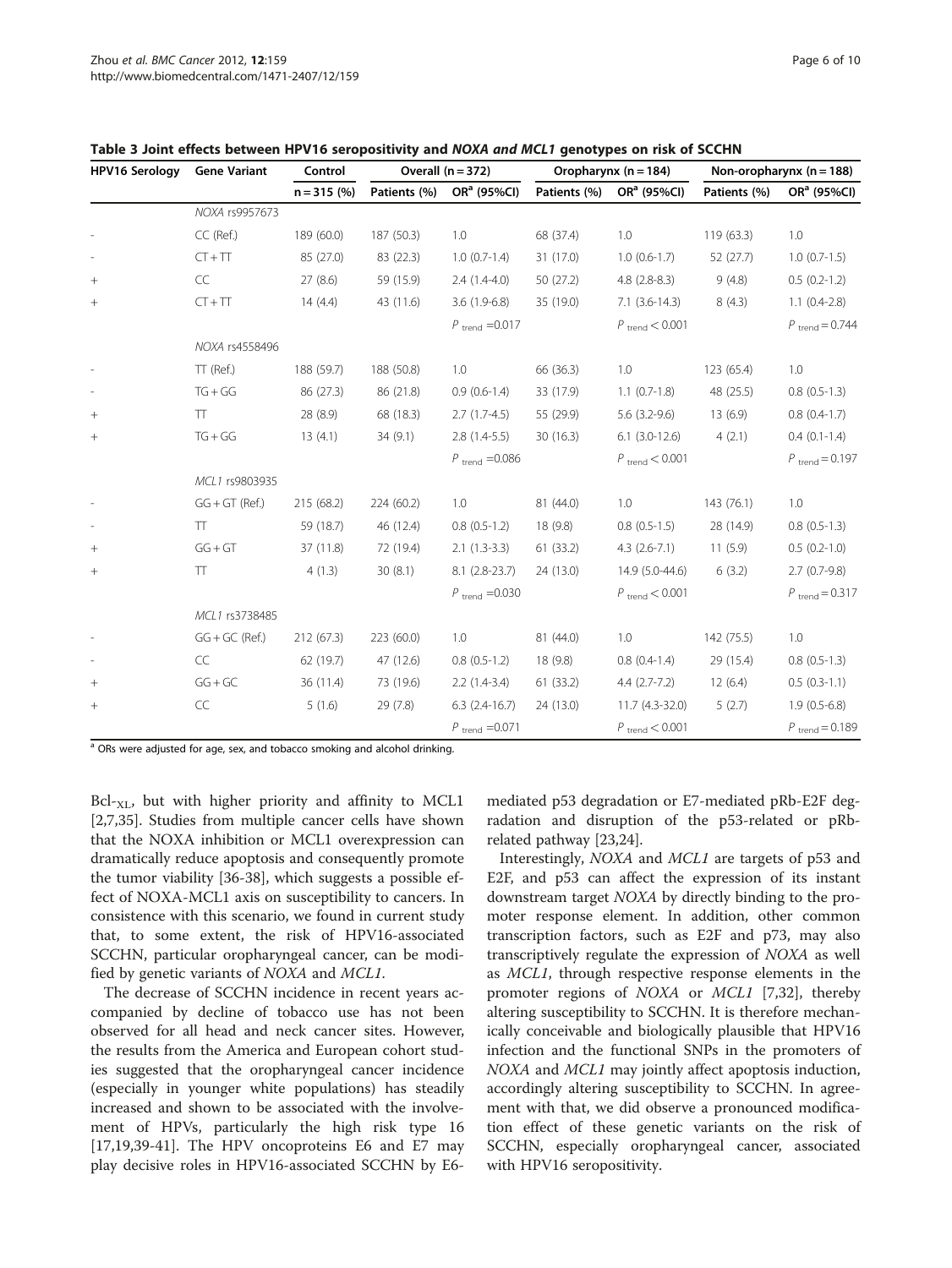| <b>HPV16 Serology</b> | <b>Gene Variant</b> | Control      | Overall $(n = 372)$ |                            | Oropharynx ( $n = 184$ ) |                            | Non-oropharynx $(n = 188)$ |                            |
|-----------------------|---------------------|--------------|---------------------|----------------------------|--------------------------|----------------------------|----------------------------|----------------------------|
|                       |                     | $n = 315(%)$ | Patients (%)        | OR <sup>a</sup> (95%CI)    | Patients (%)             | OR <sup>a</sup> (95%Cl)    | Patients (%)               | OR <sup>a</sup> (95%Cl)    |
|                       | NOXA rs9957673      |              |                     |                            |                          |                            |                            |                            |
|                       | CC (Ref.)           | 189 (60.0)   | 187 (50.3)          | 1.0                        | 68 (37.4)                | 1.0                        | 119 (63.3)                 | 1.0                        |
|                       | $CT + TT$           | 85 (27.0)    | 83 (22.3)           | $1.0(0.7-1.4)$             | 31 (17.0)                | $1.0(0.6-1.7)$             | 52 (27.7)                  | $1.0(0.7-1.5)$             |
| $^{+}$                | CC                  | 27(8.6)      | 59 (15.9)           | $2.4(1.4-4.0)$             | 50 (27.2)                | $4.8(2.8-8.3)$             | 9(4.8)                     | $0.5(0.2-1.2)$             |
| $^{+}$                | $CT + TT$           | 14(4.4)      | 43 (11.6)           | $3.6(1.9-6.8)$             | 35 (19.0)                | $7.1$ $(3.6-14.3)$         | 8(4.3)                     | $1.1(0.4-2.8)$             |
|                       |                     |              |                     | $P_{\text{trend}} = 0.017$ |                          | $P_{\text{trend}} < 0.001$ |                            | $P_{\text{trend}} = 0.744$ |
|                       | NOXA rs4558496      |              |                     |                            |                          |                            |                            |                            |
|                       | TT (Ref.)           | 188 (59.7)   | 188 (50.8)          | 1.0                        | 66 (36.3)                | 1.0                        | 123 (65.4)                 | 1.0                        |
|                       | $TG+GG$             | 86 (27.3)    | 86 (21.8)           | $0.9(0.6-1.4)$             | 33 (17.9)                | $1.1 (0.7 - 1.8)$          | 48 (25.5)                  | $0.8(0.5-1.3)$             |
| $^{+}$                | TΤ                  | 28 (8.9)     | 68 (18.3)           | $2.7(1.7-4.5)$             | 55 (29.9)                | $5.6(3.2-9.6)$             | 13(6.9)                    | $0.8(0.4-1.7)$             |
| $^{+}$                | $TG+GG$             | 13(4.1)      | 34(9.1)             | $2.8(1.4-5.5)$             | 30(16.3)                 | $6.1$ (3.0-12.6)           | 4(2.1)                     | $0.4(0.1-1.4)$             |
|                       |                     |              |                     | $P_{\text{trend}} = 0.086$ |                          | $P_{\text{trend}} < 0.001$ |                            | $P_{\text{trend}} = 0.197$ |
|                       | MCL1 rs9803935      |              |                     |                            |                          |                            |                            |                            |
|                       | $GG + GT$ (Ref.)    | 215 (68.2)   | 224 (60.2)          | 1.0                        | 81 (44.0)                | 1.0                        | 143 (76.1)                 | 1.0                        |
|                       | TT.                 | 59 (18.7)    | 46 (12.4)           | $0.8(0.5-1.2)$             | 18 (9.8)                 | $0.8(0.5-1.5)$             | 28 (14.9)                  | $0.8(0.5-1.3)$             |
| $^{+}$                | $GG + GT$           | 37 (11.8)    | 72 (19.4)           | $2.1(1.3-3.3)$             | 61(33.2)                 | $4.3(2.6-7.1)$             | 11(5.9)                    | $0.5(0.2-1.0)$             |
| $^{+}$                | TT                  | 4(1.3)       | 30(8.1)             | $8.1(2.8-23.7)$            | 24 (13.0)                | 14.9 (5.0-44.6)            | 6(3.2)                     | $2.7(0.7-9.8)$             |
|                       |                     |              |                     | $P_{\text{trend}} = 0.030$ |                          | $P_{\text{trend}} < 0.001$ |                            | $P_{\text{trend}} = 0.317$ |
|                       | MCL1 rs3738485      |              |                     |                            |                          |                            |                            |                            |
|                       | $GG + GC$ (Ref.)    | 212 (67.3)   | 223 (60.0)          | 1.0                        | 81 (44.0)                | 1.0                        | 142 (75.5)                 | 1.0                        |
|                       | CC                  | 62 (19.7)    | 47 (12.6)           | $0.8(0.5-1.2)$             | 18 (9.8)                 | $0.8(0.4-1.4)$             | 29 (15.4)                  | $0.8(0.5-1.3)$             |
| $^{+}$                | $GG + GC$           | 36 (11.4)    | 73 (19.6)           | $2.2(1.4-3.4)$             | 61 (33.2)                | $4.4(2.7-7.2)$             | 12(6.4)                    | $0.5(0.3-1.1)$             |
| $+$                   | CC                  | 5(1.6)       | 29(7.8)             | $6.3$ $(2.4-16.7)$         | 24 (13.0)                | $11.7(4.3-32.0)$           | 5(2.7)                     | $1.9(0.5-6.8)$             |
|                       |                     |              |                     | $P_{\text{trend}} = 0.071$ |                          | $P_{\text{trend}} < 0.001$ |                            | $P_{\text{trend}} = 0.189$ |

<span id="page-5-0"></span>Table 3 Joint effects between HPV16 seropositivity and NOXA and MCL1 genotypes on risk of SCCHN

<sup>a</sup> ORs were adjusted for age, sex, and tobacco smoking and alcohol drinking.

 $Bcl_{\tau_{\text{NL}}}$ , but with higher priority and affinity to MCL1 [[2,7,35\]](#page-9-0). Studies from multiple cancer cells have shown that the NOXA inhibition or MCL1 overexpression can dramatically reduce apoptosis and consequently promote the tumor viability [[36-38](#page-9-0)], which suggests a possible effect of NOXA-MCL1 axis on susceptibility to cancers. In consistence with this scenario, we found in current study that, to some extent, the risk of HPV16-associated SCCHN, particular oropharyngeal cancer, can be modified by genetic variants of NOXA and MCL1.

The decrease of SCCHN incidence in recent years accompanied by decline of tobacco use has not been observed for all head and neck cancer sites. However, the results from the America and European cohort studies suggested that the oropharyngeal cancer incidence (especially in younger white populations) has steadily increased and shown to be associated with the involvement of HPVs, particularly the high risk type 16 [[17,19,39-41\]](#page-9-0). The HPV oncoproteins E6 and E7 may play decisive roles in HPV16-associated SCCHN by E6mediated p53 degradation or E7-mediated pRb-E2F degradation and disruption of the p53-related or pRbrelated pathway [\[23,24](#page-9-0)].

Interestingly, NOXA and MCL1 are targets of p53 and E2F, and p53 can affect the expression of its instant downstream target NOXA by directly binding to the promoter response element. In addition, other common transcription factors, such as E2F and p73, may also transcriptively regulate the expression of NOXA as well as MCL1, through respective response elements in the promoter regions of NOXA or MCL1 [\[7,32](#page-9-0)], thereby altering susceptibility to SCCHN. It is therefore mechanically conceivable and biologically plausible that HPV16 infection and the functional SNPs in the promoters of NOXA and MCL1 may jointly affect apoptosis induction, accordingly altering susceptibility to SCCHN. In agreement with that, we did observe a pronounced modification effect of these genetic variants on the risk of SCCHN, especially oropharyngeal cancer, associated with HPV16 seropositivity.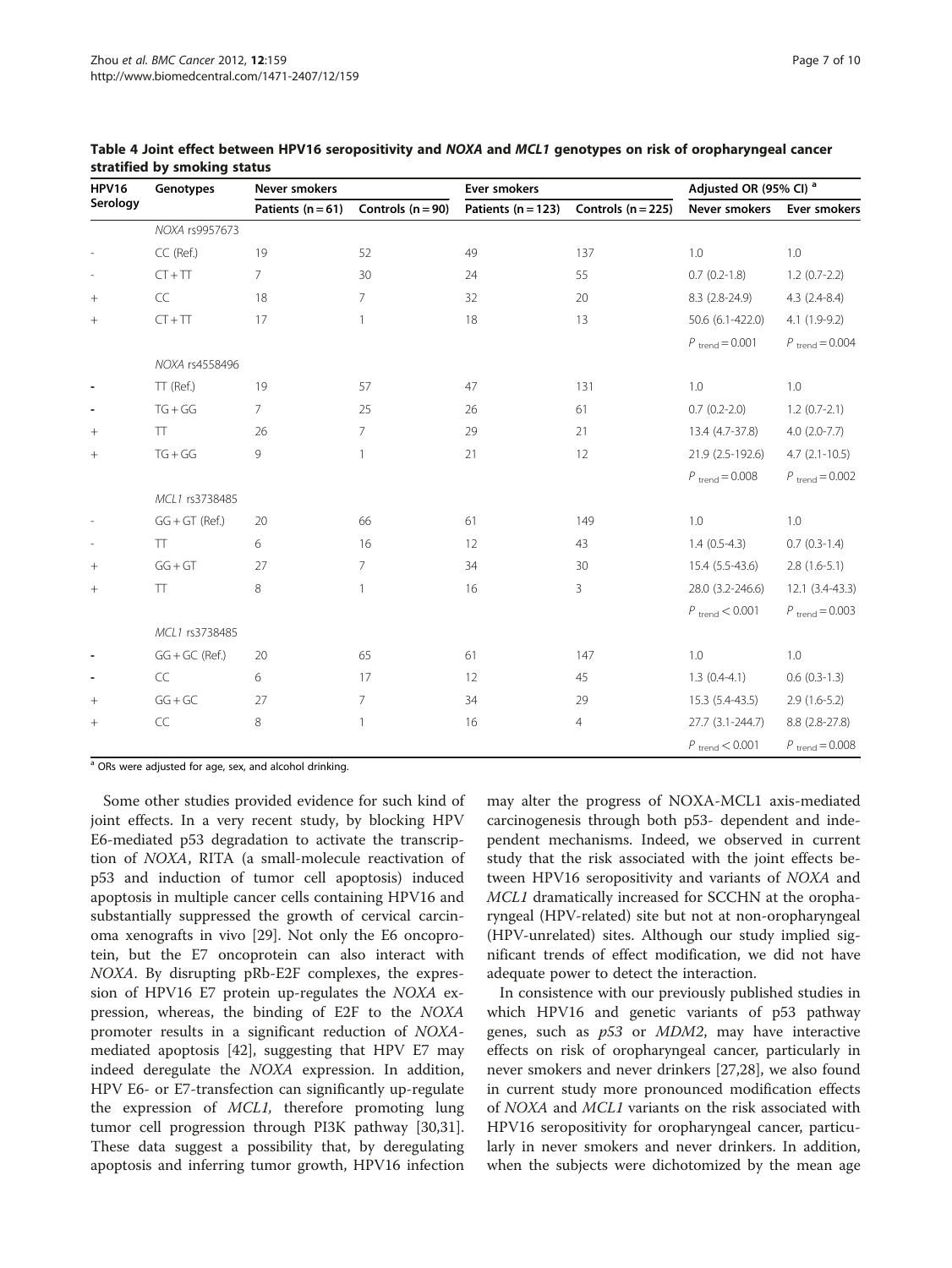| <b>HPV16</b> | Genotypes         | Never smokers         |                     | Ever smokers           |                      | Adjusted OR (95% CI) <sup>a</sup> |                            |
|--------------|-------------------|-----------------------|---------------------|------------------------|----------------------|-----------------------------------|----------------------------|
| Serology     |                   | Patients ( $n = 61$ ) | Controls $(n = 90)$ | Patients ( $n = 123$ ) | Controls $(n = 225)$ | Never smokers                     | Ever smokers               |
|              | NOXA rs9957673    |                       |                     |                        |                      |                                   |                            |
|              | CC (Ref.)         | 19                    | 52                  | 49                     | 137                  | 1.0                               | 1.0                        |
|              | $CT + TT$         | $\overline{7}$        | 30                  | 24                     | 55                   | $0.7(0.2-1.8)$                    | $1.2(0.7-2.2)$             |
| $^{+}$       | $\subset \subset$ | 18                    | $\overline{7}$      | 32                     | 20                   | $8.3(2.8-24.9)$                   | $4.3(2.4 - 8.4)$           |
| $^{+}$       | $CT + TT$         | 17                    | $\mathbf{1}$        | 18                     | 13                   | 50.6 (6.1-422.0)                  | $4.1(1.9-9.2)$             |
|              |                   |                       |                     |                        |                      | $P_{\text{trend}} = 0.001$        | $P_{\text{trend}} = 0.004$ |
|              | NOXA rs4558496    |                       |                     |                        |                      |                                   |                            |
|              | $TT$ (Ref.)       | 19                    | 57                  | 47                     | 131                  | 1.0                               | 1.0                        |
|              | $TG+GG$           | $\overline{7}$        | 25                  | 26                     | 61                   | $0.7(0.2-2.0)$                    | $1.2(0.7-2.1)$             |
| $^{+}$       | $\top\top$        | 26                    | $\overline{7}$      | 29                     | 21                   | 13.4 (4.7-37.8)                   | $4.0$ (2.0-7.7)            |
|              | $TG + GG$         | 9                     | $\mathbf{1}$        | 21                     | 12                   | 21.9 (2.5-192.6)                  | $4.7(2.1-10.5)$            |
|              |                   |                       |                     |                        |                      | $P_{\text{trend}} = 0.008$        | $P_{\text{trend}} = 0.002$ |
|              | MCL1 rs3738485    |                       |                     |                        |                      |                                   |                            |
|              | $GG + GT$ (Ref.)  | 20                    | 66                  | 61                     | 149                  | 1.0                               | 1.0                        |
|              | $\top\top$        | 6                     | 16                  | 12                     | 43                   | $1.4(0.5-4.3)$                    | $0.7(0.3-1.4)$             |
| $^{+}$       | $GG + GT$         | 27                    | $\overline{7}$      | 34                     | 30                   | 15.4 (5.5-43.6)                   | $2.8(1.6-5.1)$             |
| $^{+}$       | T                 | 8                     | $\mathbf{1}$        | 16                     | 3                    | 28.0 (3.2-246.6)                  | $12.1(3.4-43.3)$           |
|              |                   |                       |                     |                        |                      | $P_{\text{trend}} < 0.001$        | $P_{\text{trend}} = 0.003$ |
|              | MCL1 rs3738485    |                       |                     |                        |                      |                                   |                            |
|              | $GG + GC$ (Ref.)  | 20                    | 65                  | 61                     | 147                  | 1.0                               | 1.0                        |
|              | <b>CC</b>         | 6                     | 17                  | 12                     | 45                   | $1.3(0.4-4.1)$                    | $0.6(0.3-1.3)$             |
| $+$          | $GG + GC$         | 27                    | $\overline{7}$      | 34                     | 29                   | $15.3(5.4-43.5)$                  | $2.9(1.6-5.2)$             |
| $^{+}$       | $\subset \subset$ | 8                     | $\mathbf{1}$        | 16                     | 4                    | 27.7 (3.1-244.7)                  | 8.8 (2.8-27.8)             |
|              |                   |                       |                     |                        |                      | $P_{\text{trend}} < 0.001$        | $P_{\text{trend}} = 0.008$ |

<span id="page-6-0"></span>

| Table 4 Joint effect between HPV16 seropositivity and NOXA and MCL1 genotypes on risk of oropharyngeal cancer |
|---------------------------------------------------------------------------------------------------------------|
| stratified by smoking status                                                                                  |

<sup>a</sup> ORs were adjusted for age, sex, and alcohol drinking.

Some other studies provided evidence for such kind of joint effects. In a very recent study, by blocking HPV E6-mediated p53 degradation to activate the transcription of NOXA, RITA (a small-molecule reactivation of p53 and induction of tumor cell apoptosis) induced apoptosis in multiple cancer cells containing HPV16 and substantially suppressed the growth of cervical carcinoma xenografts in vivo [[29\]](#page-9-0). Not only the E6 oncoprotein, but the E7 oncoprotein can also interact with NOXA. By disrupting pRb-E2F complexes, the expression of HPV16 E7 protein up-regulates the NOXA expression, whereas, the binding of E2F to the NOXA promoter results in a significant reduction of NOXAmediated apoptosis [\[42](#page-9-0)], suggesting that HPV E7 may indeed deregulate the NOXA expression. In addition, HPV E6- or E7-transfection can significantly up-regulate the expression of MCL1, therefore promoting lung tumor cell progression through PI3K pathway [\[30,31](#page-9-0)]. These data suggest a possibility that, by deregulating apoptosis and inferring tumor growth, HPV16 infection

may alter the progress of NOXA-MCL1 axis-mediated carcinogenesis through both p53- dependent and independent mechanisms. Indeed, we observed in current study that the risk associated with the joint effects between HPV16 seropositivity and variants of NOXA and MCL1 dramatically increased for SCCHN at the oropharyngeal (HPV-related) site but not at non-oropharyngeal (HPV-unrelated) sites. Although our study implied significant trends of effect modification, we did not have adequate power to detect the interaction.

In consistence with our previously published studies in which HPV16 and genetic variants of p53 pathway genes, such as  $p53$  or  $MDM2$ , may have interactive effects on risk of oropharyngeal cancer, particularly in never smokers and never drinkers [\[27,28\]](#page-9-0), we also found in current study more pronounced modification effects of NOXA and MCL1 variants on the risk associated with HPV16 seropositivity for oropharyngeal cancer, particularly in never smokers and never drinkers. In addition, when the subjects were dichotomized by the mean age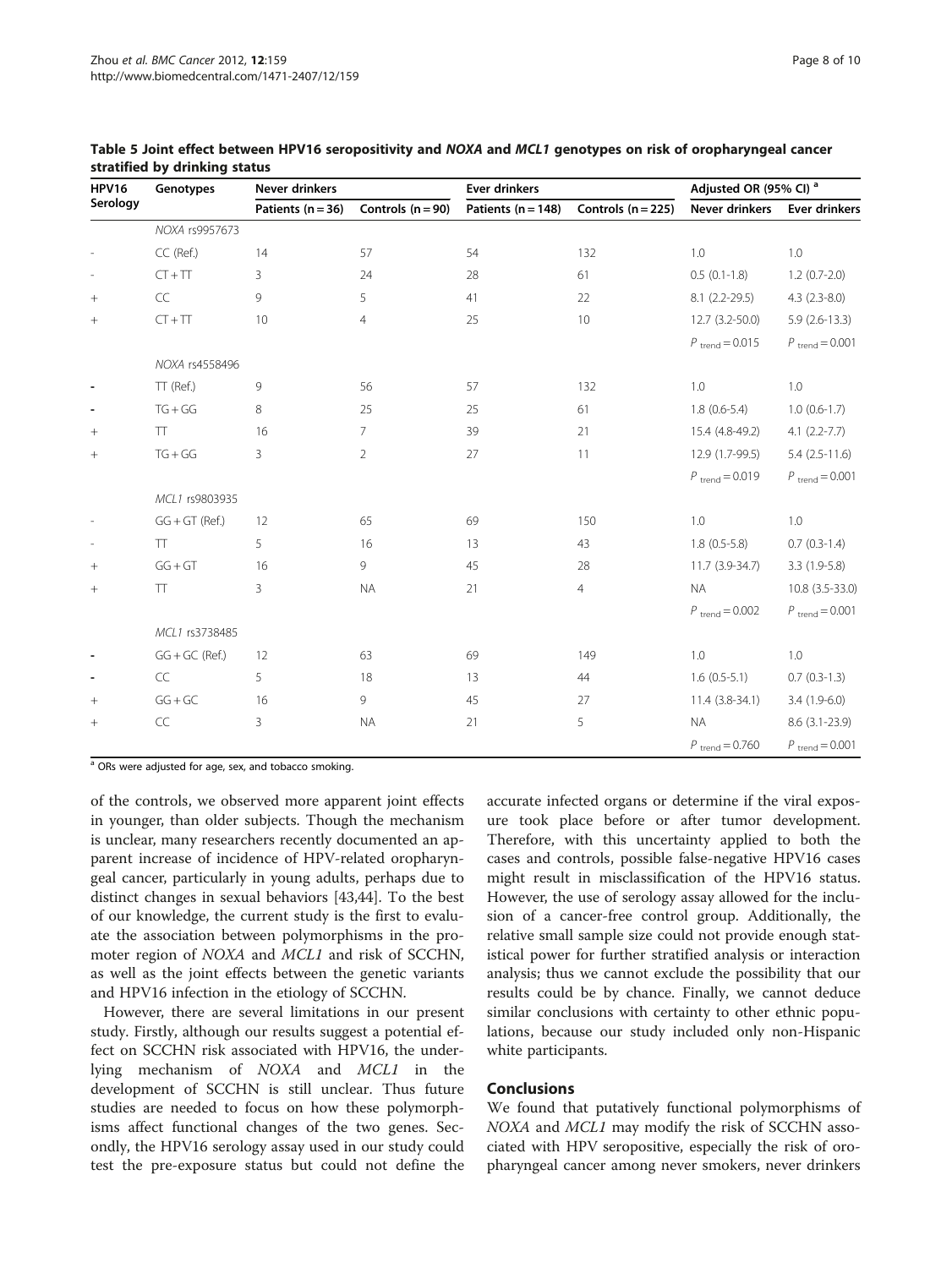| <b>HPV16</b><br>Serology | Genotypes        | Never drinkers        |                     | <b>Ever drinkers</b>   |                      | Adjusted OR (95% CI) <sup>a</sup> |                            |
|--------------------------|------------------|-----------------------|---------------------|------------------------|----------------------|-----------------------------------|----------------------------|
|                          |                  | Patients ( $n = 36$ ) | Controls $(n = 90)$ | Patients ( $n = 148$ ) | Controls $(n = 225)$ | Never drinkers                    | <b>Ever drinkers</b>       |
|                          | NOXA rs9957673   |                       |                     |                        |                      |                                   |                            |
|                          | CC (Ref.)        | 14                    | 57                  | 54                     | 132                  | 1.0                               | 1.0                        |
|                          | $CT + TT$        | 3                     | 24                  | 28                     | 61                   | $0.5(0.1-1.8)$                    | $1.2(0.7-2.0)$             |
| $^{+}$                   | CC               | 9                     | 5                   | 41                     | 22                   | $8.1(2.2-29.5)$                   | $4.3(2.3-8.0)$             |
| $^{+}$                   | $CT + TT$        | 10                    | $\overline{4}$      | 25                     | 10                   | $12.7(3.2 - 50.0)$                | $5.9(2.6-13.3)$            |
|                          |                  |                       |                     |                        |                      | $P_{\text{trend}} = 0.015$        | $P_{\text{trend}} = 0.001$ |
|                          | NOXA rs4558496   |                       |                     |                        |                      |                                   |                            |
|                          | TT (Ref.)        | 9                     | 56                  | 57                     | 132                  | 1.0                               | 1.0                        |
|                          | $TG+GG$          | 8                     | 25                  | 25                     | 61                   | $1.8(0.6-5.4)$                    | $1.0(0.6-1.7)$             |
| $^{+}$                   | <b>TT</b>        | 16                    | $\overline{7}$      | 39                     | 21                   | 15.4 (4.8-49.2)                   | $4.1 (2.2 - 7.7)$          |
| $^{+}$                   | $TG + GG$        | 3                     | $\overline{2}$      | 27                     | 11                   | 12.9 (1.7-99.5)                   | $5.4(2.5-11.6)$            |
|                          |                  |                       |                     |                        |                      | $P_{\text{trend}} = 0.019$        | $P_{\text{trend}} = 0.001$ |
|                          | MCL1 rs9803935   |                       |                     |                        |                      |                                   |                            |
|                          | $GG + GT$ (Ref.) | 12                    | 65                  | 69                     | 150                  | 1.0                               | 1.0                        |
|                          | <b>TT</b>        | 5                     | 16                  | 13                     | 43                   | $1.8(0.5-5.8)$                    | $0.7(0.3-1.4)$             |
| $^{+}$                   | $GG + GT$        | 16                    | 9                   | 45                     | 28                   | $11.7(3.9-34.7)$                  | $3.3(1.9-5.8)$             |
| $^{+}$                   | <b>TT</b>        | 3                     | <b>NA</b>           | 21                     | 4                    | <b>NA</b>                         | 10.8 (3.5-33.0)            |
|                          |                  |                       |                     |                        |                      | $P_{\text{trend}} = 0.002$        | $P_{\text{trend}} = 0.001$ |
|                          | MCL1 rs3738485   |                       |                     |                        |                      |                                   |                            |
|                          | $GG + GC$ (Ref.) | 12                    | 63                  | 69                     | 149                  | 1.0                               | 1.0                        |
|                          | CC               | 5                     | 18                  | 13                     | 44                   | $1.6(0.5-5.1)$                    | $0.7(0.3-1.3)$             |
| $^{+}$                   | $GG + GC$        | 16                    | 9                   | 45                     | 27                   | $11.4(3.8-34.1)$                  | $3.4(1.9-6.0)$             |
|                          | $\mathsf{CC}$    | 3                     | <b>NA</b>           | 21                     | 5                    | <b>NA</b>                         | $8.6(3.1-23.9)$            |
|                          |                  |                       |                     |                        |                      | $P_{\text{trend}} = 0.760$        | $P_{\text{trend}} = 0.001$ |

#### <span id="page-7-0"></span>Table 5 Joint effect between HPV16 seropositivity and NOXA and MCL1 genotypes on risk of oropharyngeal cancer stratified by drinking status

<sup>a</sup> ORs were adjusted for age, sex, and tobacco smoking.

of the controls, we observed more apparent joint effects in younger, than older subjects. Though the mechanism is unclear, many researchers recently documented an apparent increase of incidence of HPV-related oropharyngeal cancer, particularly in young adults, perhaps due to distinct changes in sexual behaviors [[43,44\]](#page-9-0). To the best of our knowledge, the current study is the first to evaluate the association between polymorphisms in the promoter region of *NOXA* and *MCL1* and risk of SCCHN, as well as the joint effects between the genetic variants and HPV16 infection in the etiology of SCCHN.

However, there are several limitations in our present study. Firstly, although our results suggest a potential effect on SCCHN risk associated with HPV16, the underlying mechanism of NOXA and MCL1 in the development of SCCHN is still unclear. Thus future studies are needed to focus on how these polymorphisms affect functional changes of the two genes. Secondly, the HPV16 serology assay used in our study could test the pre-exposure status but could not define the

accurate infected organs or determine if the viral exposure took place before or after tumor development. Therefore, with this uncertainty applied to both the cases and controls, possible false-negative HPV16 cases might result in misclassification of the HPV16 status. However, the use of serology assay allowed for the inclusion of a cancer-free control group. Additionally, the relative small sample size could not provide enough statistical power for further stratified analysis or interaction analysis; thus we cannot exclude the possibility that our results could be by chance. Finally, we cannot deduce similar conclusions with certainty to other ethnic populations, because our study included only non-Hispanic white participants.

## Conclusions

We found that putatively functional polymorphisms of NOXA and MCL1 may modify the risk of SCCHN associated with HPV seropositive, especially the risk of oropharyngeal cancer among never smokers, never drinkers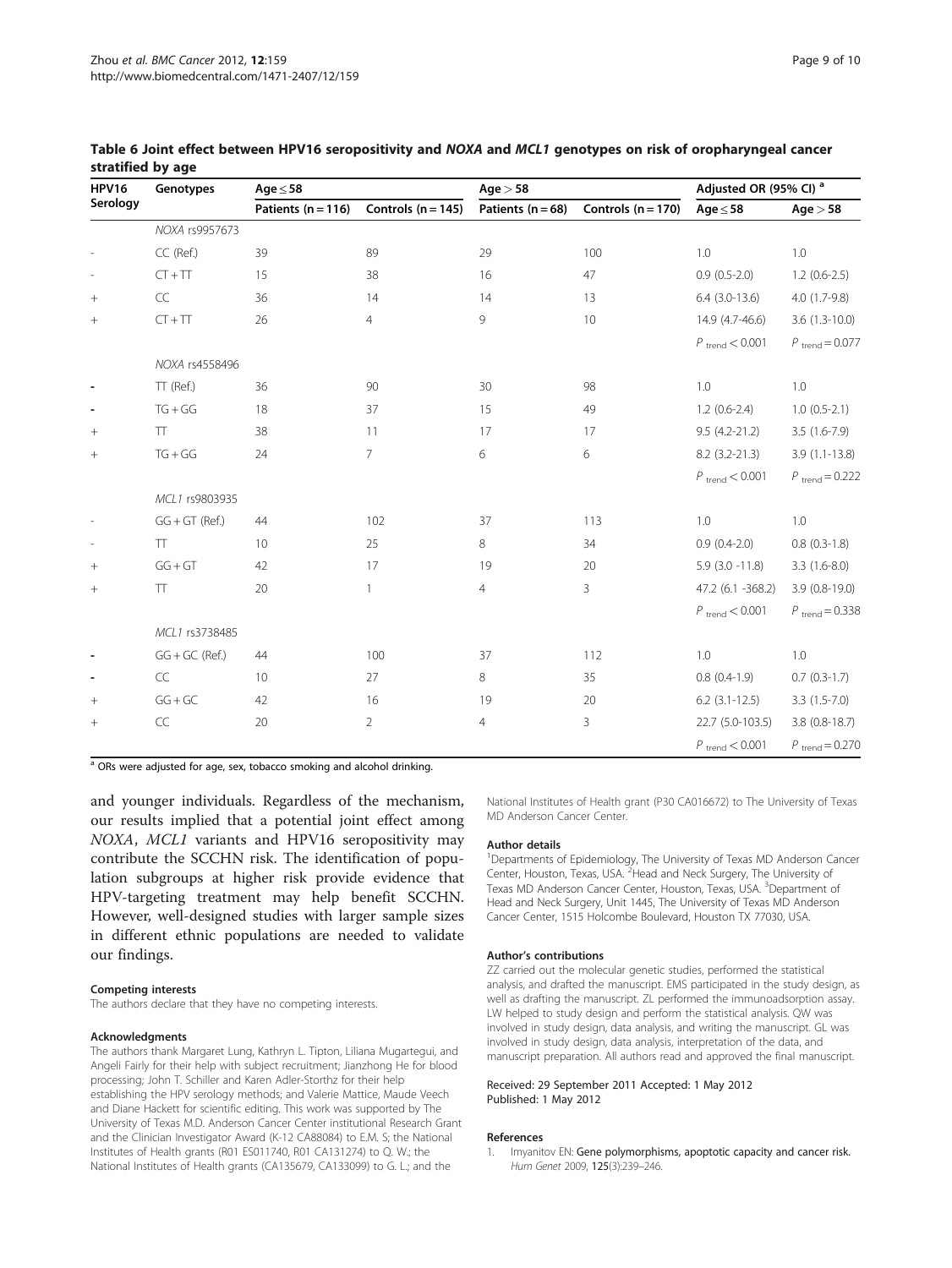| <b>HPV16</b>             | Genotypes            | $Age \leq 58$          |                        | Age > 58              |                      | Adjusted OR (95% CI) <sup>a</sup> |                            |
|--------------------------|----------------------|------------------------|------------------------|-----------------------|----------------------|-----------------------------------|----------------------------|
| Serology                 |                      | Patients ( $n = 116$ ) | Controls ( $n = 145$ ) | Patients ( $n = 68$ ) | Controls $(n = 170)$ | Age $\leq$ 58                     | Age > 58                   |
|                          | NOXA rs9957673       |                        |                        |                       |                      |                                   |                            |
|                          | CC (Ref.)            | 39                     | 89                     | 29                    | 100                  | 1.0                               | 1.0                        |
|                          | $CT + TT$            | 15                     | 38                     | 16                    | 47                   | $0.9(0.5-2.0)$                    | $1.2(0.6-2.5)$             |
|                          | $\mathsf{CC}\xspace$ | 36                     | 14                     | 14                    | 13                   | $6.4$ (3.0-13.6)                  | $4.0(1.7-9.8)$             |
| $^{+}$                   | $CT + TT$            | 26                     | $\overline{4}$         | 9                     | 10                   | 14.9 (4.7-46.6)                   | $3.6(1.3-10.0)$            |
|                          |                      |                        |                        |                       |                      | $P_{\text{trend}} < 0.001$        | $P_{\text{trend}} = 0.077$ |
|                          | NOXA rs4558496       |                        |                        |                       |                      |                                   |                            |
| $\overline{\phantom{a}}$ | TT (Ref.)            | 36                     | 90                     | 30                    | 98                   | 1.0                               | 1.0                        |
| $\overline{\phantom{a}}$ | $TG + GG$            | 18                     | 37                     | 15                    | 49                   | $1.2(0.6-2.4)$                    | $1.0(0.5-2.1)$             |
|                          | <b>TT</b>            | 38                     | 11                     | 17                    | 17                   | $9.5(4.2 - 21.2)$                 | $3.5(1.6-7.9)$             |
| $\! + \!\!\!\!$          | $TG + GG$            | 24                     | $\overline{7}$         | 6                     | 6                    | $8.2(3.2 - 21.3)$                 | $3.9(1.1-13.8)$            |
|                          |                      |                        |                        |                       |                      | $P_{\text{trend}} < 0.001$        | $P_{\text{trend}} = 0.222$ |
|                          | MCL1 rs9803935       |                        |                        |                       |                      |                                   |                            |
|                          | $GG + GT$ (Ref.)     | 44                     | 102                    | 37                    | 113                  | $1.0\,$                           | $1.0\,$                    |
|                          | TT                   | 10                     | 25                     | 8                     | 34                   | $0.9(0.4-2.0)$                    | $0.8$ $(0.3-1.8)$          |
|                          | $GG + GT$            | 42                     | 17                     | 19                    | 20                   | $5.9(3.0 - 11.8)$                 | $3.3(1.6-8.0)$             |
| $^{+}$                   | TT                   | 20                     | $\mathbf{1}$           | 4                     | 3                    | 47.2 (6.1 -368.2)                 | $3.9(0.8-19.0)$            |
|                          |                      |                        |                        |                       |                      | $P_{\text{trend}} < 0.001$        | $P_{\text{trend}} = 0.338$ |
|                          | MCL1 rs3738485       |                        |                        |                       |                      |                                   |                            |
|                          | $GG + GC$ (Ref.)     | 44                     | 100                    | 37                    | 112                  | 1.0                               | 1.0                        |
|                          | CC                   | 10                     | 27                     | 8                     | 35                   | $0.8(0.4-1.9)$                    | $0.7(0.3-1.7)$             |
|                          | $GG + GC$            | 42                     | 16                     | 19                    | 20                   | $6.2$ (3.1-12.5)                  | $3.3(1.5-7.0)$             |
|                          | $\subset \subset$    | 20                     | $\overline{2}$         | 4                     | 3                    | 22.7 (5.0-103.5)                  | $3.8(0.8-18.7)$            |
|                          |                      |                        |                        |                       |                      | $P_{\text{trend}} < 0.001$        | $P_{\text{trend}} = 0.270$ |

#### <span id="page-8-0"></span>Table 6 Joint effect between HPV16 seropositivity and NOXA and MCL1 genotypes on risk of oropharyngeal cancer stratified by age

<sup>a</sup> ORs were adjusted for age, sex, tobacco smoking and alcohol drinking.

and younger individuals. Regardless of the mechanism, our results implied that a potential joint effect among NOXA, MCL1 variants and HPV16 seropositivity may contribute the SCCHN risk. The identification of population subgroups at higher risk provide evidence that HPV-targeting treatment may help benefit SCCHN. However, well-designed studies with larger sample sizes in different ethnic populations are needed to validate our findings.

#### Competing interests

The authors declare that they have no competing interests.

#### Acknowledgments

The authors thank Margaret Lung, Kathryn L. Tipton, Liliana Mugartegui, and Angeli Fairly for their help with subject recruitment; Jianzhong He for blood processing; John T. Schiller and Karen Adler-Storthz for their help establishing the HPV serology methods; and Valerie Mattice, Maude Veech and Diane Hackett for scientific editing. This work was supported by The University of Texas M.D. Anderson Cancer Center institutional Research Grant and the Clinician Investigator Award (K-12 CA88084) to E.M. S; the National Institutes of Health grants (R01 ES011740, R01 CA131274) to Q. W.; the National Institutes of Health grants (CA135679, CA133099) to G. L.; and the

National Institutes of Health grant (P30 CA016672) to The University of Texas MD Anderson Cancer Center.

#### Author details

<sup>1</sup>Departments of Epidemiology, The University of Texas MD Anderson Cancer Center, Houston, Texas, USA. <sup>2</sup> Head and Neck Surgery, The University of Texas MD Anderson Cancer Center, Houston, Texas, USA. <sup>3</sup>Department of Head and Neck Surgery, Unit 1445, The University of Texas MD Anderson Cancer Center, 1515 Holcombe Boulevard, Houston TX 77030, USA.

#### Author's contributions

ZZ carried out the molecular genetic studies, performed the statistical analysis, and drafted the manuscript. EMS participated in the study design, as well as drafting the manuscript. ZL performed the immunoadsorption assay. LW helped to study design and perform the statistical analysis. QW was involved in study design, data analysis, and writing the manuscript. GL was involved in study design, data analysis, interpretation of the data, and manuscript preparation. All authors read and approved the final manuscript.

#### Received: 29 September 2011 Accepted: 1 May 2012 Published: 1 May 2012

#### References

1. Imyanitov EN: Gene polymorphisms, apoptotic capacity and cancer risk. Hum Genet 2009, 125(3):239–246.